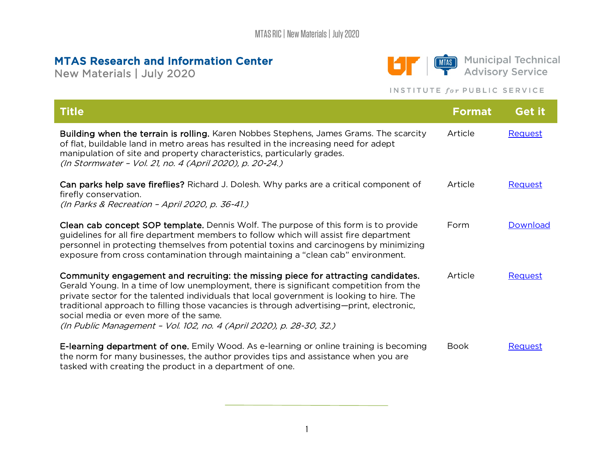## MTAS Research and Information Center

New Materials | July 2020



**MIAS** Municipal Technical<br> **T** Advisory Service

## INSTITUTE for PUBLIC SERVICE

| <b>Title</b>                                                                                                                                                                                                                                                                                                                                                                                                                                                                            | <b>Format</b> | <b>Get it</b> |
|-----------------------------------------------------------------------------------------------------------------------------------------------------------------------------------------------------------------------------------------------------------------------------------------------------------------------------------------------------------------------------------------------------------------------------------------------------------------------------------------|---------------|---------------|
| Building when the terrain is rolling. Karen Nobbes Stephens, James Grams. The scarcity<br>of flat, buildable land in metro areas has resulted in the increasing need for adept<br>manipulation of site and property characteristics, particularly grades.<br>(In Stormwater - Vol. 21, no. 4 (April 2020), p. 20-24.)                                                                                                                                                                   | Article       | Request       |
| Can parks help save fireflies? Richard J. Dolesh. Why parks are a critical component of<br>firefly conservation.<br>(In Parks & Recreation - April 2020, p. 36-41.)                                                                                                                                                                                                                                                                                                                     | Article       | Request       |
| <b>Clean cab concept SOP template.</b> Dennis Wolf. The purpose of this form is to provide<br>guidelines for all fire department members to follow which will assist fire department<br>personnel in protecting themselves from potential toxins and carcinogens by minimizing<br>exposure from cross contamination through maintaining a "clean cab" environment.                                                                                                                      | Form          | Download      |
| Community engagement and recruiting: the missing piece for attracting candidates.<br>Gerald Young. In a time of low unemployment, there is significant competition from the<br>private sector for the talented individuals that local government is looking to hire. The<br>traditional approach to filling those vacancies is through advertising—print, electronic,<br>social media or even more of the same.<br>(In Public Management - Vol. 102, no. 4 (April 2020), p. 28-30, 32.) | Article       | Request       |
| <b>E-learning department of one.</b> Emily Wood. As e-learning or online training is becoming<br>the norm for many businesses, the author provides tips and assistance when you are<br>tasked with creating the product in a department of one.                                                                                                                                                                                                                                         | <b>Book</b>   | Request       |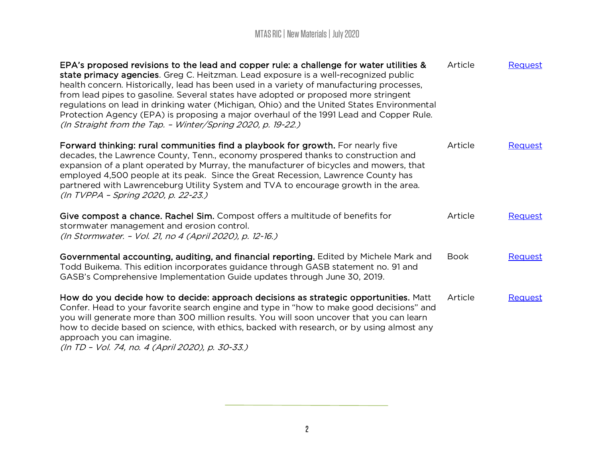| EPA's proposed revisions to the lead and copper rule: a challenge for water utilities &<br>state primacy agencies. Greg C. Heitzman. Lead exposure is a well-recognized public<br>health concern. Historically, lead has been used in a variety of manufacturing processes,<br>from lead pipes to gasoline. Several states have adopted or proposed more stringent<br>regulations on lead in drinking water (Michigan, Ohio) and the United States Environmental<br>Protection Agency (EPA) is proposing a major overhaul of the 1991 Lead and Copper Rule.<br>(In Straight from the Tap. - Winter/Spring 2020, p. 19-22.) | Article     | Request        |
|----------------------------------------------------------------------------------------------------------------------------------------------------------------------------------------------------------------------------------------------------------------------------------------------------------------------------------------------------------------------------------------------------------------------------------------------------------------------------------------------------------------------------------------------------------------------------------------------------------------------------|-------------|----------------|
| Forward thinking: rural communities find a playbook for growth. For nearly five<br>decades, the Lawrence County, Tenn., economy prospered thanks to construction and<br>expansion of a plant operated by Murray, the manufacturer of bicycles and mowers, that<br>employed 4,500 people at its peak. Since the Great Recession, Lawrence County has<br>partnered with Lawrenceburg Utility System and TVA to encourage growth in the area.<br>(In TVPPA - Spring 2020, p. 22-23.)                                                                                                                                          | Article     | Request        |
| Give compost a chance. Rachel Sim. Compost offers a multitude of benefits for<br>stormwater management and erosion control.<br>(In Stormwater. - Vol. 21, no 4 (April 2020), p. 12-16.)                                                                                                                                                                                                                                                                                                                                                                                                                                    | Article     | Request        |
| Governmental accounting, auditing, and financial reporting. Edited by Michele Mark and<br>Todd Buikema. This edition incorporates guidance through GASB statement no. 91 and<br>GASB's Comprehensive Implementation Guide updates through June 30, 2019.                                                                                                                                                                                                                                                                                                                                                                   | <b>Book</b> | <b>Request</b> |
| How do you decide how to decide: approach decisions as strategic opportunities. Matt<br>Confer. Head to your favorite search engine and type in "how to make good decisions" and<br>you will generate more than 300 million results. You will soon uncover that you can learn<br>how to decide based on science, with ethics, backed with research, or by using almost any<br>approach you can imagine.<br>(In TD - Vol. 74, no. 4 (April 2020), p. 30-33.)                                                                                                                                                                | Article     | Request        |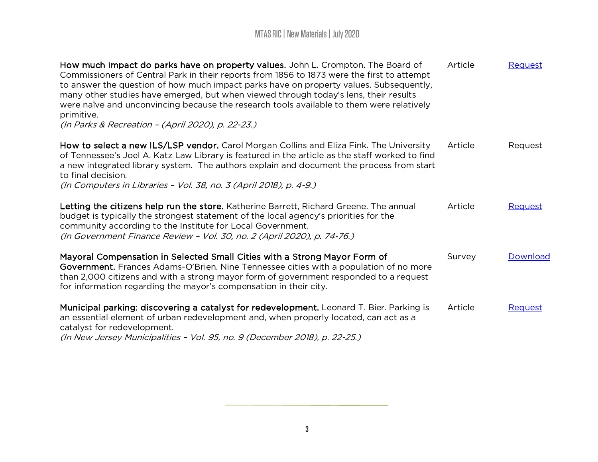| How much impact do parks have on property values. John L. Crompton. The Board of<br>Commissioners of Central Park in their reports from 1856 to 1873 were the first to attempt<br>to answer the question of how much impact parks have on property values. Subsequently,<br>many other studies have emerged, but when viewed through today's lens, their results<br>were naïve and unconvincing because the research tools available to them were relatively<br>primitive. | Article | Request  |
|----------------------------------------------------------------------------------------------------------------------------------------------------------------------------------------------------------------------------------------------------------------------------------------------------------------------------------------------------------------------------------------------------------------------------------------------------------------------------|---------|----------|
| (In Parks & Recreation - (April 2020), p. 22-23.)                                                                                                                                                                                                                                                                                                                                                                                                                          |         |          |
| How to select a new ILS/LSP vendor. Carol Morgan Collins and Eliza Fink. The University<br>of Tennessee's Joel A. Katz Law Library is featured in the article as the staff worked to find<br>a new integrated library system. The authors explain and document the process from start<br>to final decision.<br>(In Computers in Libraries - Vol. 38, no. 3 (April 2018), p. 4-9.)                                                                                          | Article | Request  |
|                                                                                                                                                                                                                                                                                                                                                                                                                                                                            |         |          |
| Letting the citizens help run the store. Katherine Barrett, Richard Greene. The annual<br>budget is typically the strongest statement of the local agency's priorities for the<br>community according to the Institute for Local Government.<br>(In Government Finance Review - Vol. 30, no. 2 (April 2020), p. 74-76.)                                                                                                                                                    | Article | Request  |
| Mayoral Compensation in Selected Small Cities with a Strong Mayor Form of<br>Government. Frances Adams-O'Brien. Nine Tennessee cities with a population of no more<br>than 2,000 citizens and with a strong mayor form of government responded to a request<br>for information regarding the mayor's compensation in their city.                                                                                                                                           | Survey  | Download |
| Municipal parking: discovering a catalyst for redevelopment. Leonard T. Bier. Parking is<br>an essential element of urban redevelopment and, when properly located, can act as a<br>catalyst for redevelopment.<br>(In New Jersey Municipalities - Vol. 95, no. 9 (December 2018), p. 22-25.)                                                                                                                                                                              | Article | Request  |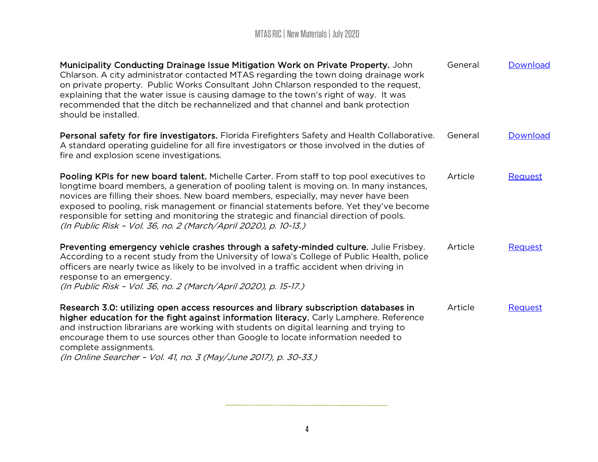| Municipality Conducting Drainage Issue Mitigation Work on Private Property. John<br>Chlarson. A city administrator contacted MTAS regarding the town doing drainage work<br>on private property. Public Works Consultant John Chlarson responded to the request,<br>explaining that the water issue is causing damage to the town's right of way. It was<br>recommended that the ditch be rechannelized and that channel and bank protection<br>should be installed.                                                              | General | Download |
|-----------------------------------------------------------------------------------------------------------------------------------------------------------------------------------------------------------------------------------------------------------------------------------------------------------------------------------------------------------------------------------------------------------------------------------------------------------------------------------------------------------------------------------|---------|----------|
| Personal safety for fire investigators. Florida Firefighters Safety and Health Collaborative.<br>A standard operating guideline for all fire investigators or those involved in the duties of<br>fire and explosion scene investigations.                                                                                                                                                                                                                                                                                         | General | Download |
| Pooling KPIs for new board talent. Michelle Carter. From staff to top pool executives to<br>longtime board members, a generation of pooling talent is moving on. In many instances,<br>novices are filling their shoes. New board members, especially, may never have been<br>exposed to pooling, risk management or financial statements before. Yet they've become<br>responsible for setting and monitoring the strategic and financial direction of pools.<br>(In Public Risk - Vol. 36, no. 2 (March/April 2020), p. 10-13.) | Article | Request  |
| Preventing emergency vehicle crashes through a safety-minded culture. Julie Frisbey.<br>According to a recent study from the University of Iowa's College of Public Health, police<br>officers are nearly twice as likely to be involved in a traffic accident when driving in<br>response to an emergency.<br>(In Public Risk - Vol. 36, no. 2 (March/April 2020), p. 15-17.)                                                                                                                                                    | Article | Request  |
| Research 3.0: utilizing open access resources and library subscription databases in<br>higher education for the fight against information literacy. Carly Lamphere. Reference<br>and instruction librarians are working with students on digital learning and trying to<br>encourage them to use sources other than Google to locate information needed to<br>complete assignments.<br>(In Online Searcher - Vol. 41, no. 3 (May/June 2017), p. 30-33.)                                                                           | Article | Request  |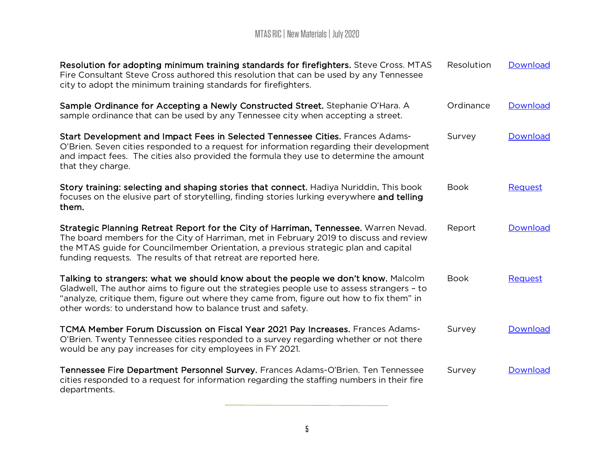| Resolution for adopting minimum training standards for firefighters. Steve Cross. MTAS<br>Fire Consultant Steve Cross authored this resolution that can be used by any Tennessee<br>city to adopt the minimum training standards for firefighters.                                                                                         | Resolution  | Download        |
|--------------------------------------------------------------------------------------------------------------------------------------------------------------------------------------------------------------------------------------------------------------------------------------------------------------------------------------------|-------------|-----------------|
| Sample Ordinance for Accepting a Newly Constructed Street. Stephanie O'Hara. A<br>sample ordinance that can be used by any Tennessee city when accepting a street.                                                                                                                                                                         | Ordinance   | Download        |
| Start Development and Impact Fees in Selected Tennessee Cities. Frances Adams-<br>O'Brien. Seven cities responded to a request for information regarding their development<br>and impact fees. The cities also provided the formula they use to determine the amount<br>that they charge.                                                  | Survey      | Download        |
| Story training: selecting and shaping stories that connect. Hadiya Nuriddin. This book<br>focuses on the elusive part of storytelling, finding stories lurking everywhere and telling<br>them.                                                                                                                                             | <b>Book</b> | Request         |
| Strategic Planning Retreat Report for the City of Harriman, Tennessee. Warren Nevad.<br>The board members for the City of Harriman, met in February 2019 to discuss and review<br>the MTAS guide for Councilmember Orientation, a previous strategic plan and capital<br>funding requests. The results of that retreat are reported here.  | Report      | Download        |
| Talking to strangers: what we should know about the people we don't know. Malcolm<br>Gladwell. The author aims to figure out the strategies people use to assess strangers - to<br>"analyze, critique them, figure out where they came from, figure out how to fix them" in<br>other words: to understand how to balance trust and safety. | <b>Book</b> | Request         |
| TCMA Member Forum Discussion on Fiscal Year 2021 Pay Increases. Frances Adams-<br>O'Brien. Twenty Tennessee cities responded to a survey regarding whether or not there<br>would be any pay increases for city employees in FY 2021.                                                                                                       | Survey      | <b>Download</b> |
| Tennessee Fire Department Personnel Survey. Frances Adams-O'Brien. Ten Tennessee<br>cities responded to a request for information regarding the staffing numbers in their fire<br>departments.                                                                                                                                             | Survey      | Download        |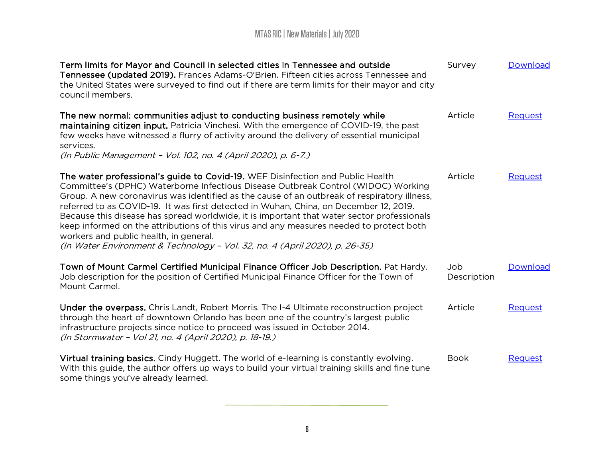| Term limits for Mayor and Council in selected cities in Tennessee and outside<br>Tennessee (updated 2019). Frances Adams-O'Brien. Fifteen cities across Tennessee and<br>the United States were surveyed to find out if there are term limits for their mayor and city<br>council members.                                                                                                                                                                                                                                                                                                                                                                                    | Survey             | Download |
|-------------------------------------------------------------------------------------------------------------------------------------------------------------------------------------------------------------------------------------------------------------------------------------------------------------------------------------------------------------------------------------------------------------------------------------------------------------------------------------------------------------------------------------------------------------------------------------------------------------------------------------------------------------------------------|--------------------|----------|
| The new normal: communities adjust to conducting business remotely while<br>maintaining citizen input. Patricia Vinchesi. With the emergence of COVID-19, the past<br>few weeks have witnessed a flurry of activity around the delivery of essential municipal<br>services.<br>(In Public Management - Vol. 102, no. 4 (April 2020), p. 6-7.)                                                                                                                                                                                                                                                                                                                                 | Article            | Request  |
| The water professional's guide to Covid-19. WEF Disinfection and Public Health<br>Committee's (DPHC) Waterborne Infectious Disease Outbreak Control (WIDOC) Working<br>Group. A new coronavirus was identified as the cause of an outbreak of respiratory illness,<br>referred to as COVID-19. It was first detected in Wuhan, China, on December 12, 2019.<br>Because this disease has spread worldwide, it is important that water sector professionals<br>keep informed on the attributions of this virus and any measures needed to protect both<br>workers and public health, in general.<br>(In Water Environment & Technology - Vol. 32, no. 4 (April 2020), p. 26-35) | Article            | Request  |
| Town of Mount Carmel Certified Municipal Finance Officer Job Description. Pat Hardy.<br>Job description for the position of Certified Municipal Finance Officer for the Town of<br>Mount Carmel.                                                                                                                                                                                                                                                                                                                                                                                                                                                                              | Job<br>Description | Download |
| Under the overpass. Chris Landt, Robert Morris. The I-4 Ultimate reconstruction project<br>through the heart of downtown Orlando has been one of the country's largest public<br>infrastructure projects since notice to proceed was issued in October 2014.<br>(In Stormwater - Vol 21, no. 4 (April 2020), p. 18-19.)                                                                                                                                                                                                                                                                                                                                                       | Article            | Request  |
| Virtual training basics. Cindy Huggett. The world of e-learning is constantly evolving.<br>With this guide, the author offers up ways to build your virtual training skills and fine tune<br>some things you've already learned.                                                                                                                                                                                                                                                                                                                                                                                                                                              | <b>Book</b>        | Request  |